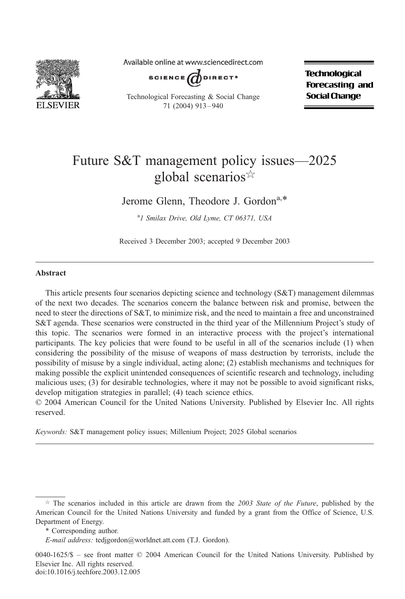

Available online at www.sciencedirect.com

SCIENCE  $d$  DIRECT<sup>.</sup>

Technological Forecasting & Social Change 71 (2004) 913 – 940

**Technological Forecasting and Social Change** 

## Future S&T management policy issues—2025 global scenarios $\mathbb{R}$

Jerome Glenn, Theodore J. Gordon<sup>a,\*</sup>

<sup>a</sup>1 Smilax Drive, Old Lyme, CT 06371, USA

Received 3 December 2003; accepted 9 December 2003

#### Abstract

This article presents four scenarios depicting science and technology (S&T) management dilemmas of the next two decades. The scenarios concern the balance between risk and promise, between the need to steer the directions of S&T, to minimize risk, and the need to maintain a free and unconstrained S&T agenda. These scenarios were constructed in the third year of the Millennium Project's study of this topic. The scenarios were formed in an interactive process with the project's international participants. The key policies that were found to be useful in all of the scenarios include (1) when considering the possibility of the misuse of weapons of mass destruction by terrorists, include the possibility of misuse by a single individual, acting alone; (2) establish mechanisms and techniques for making possible the explicit unintended consequences of scientific research and technology, including malicious uses; (3) for desirable technologies, where it may not be possible to avoid significant risks, develop mitigation strategies in parallel; (4) teach science ethics.

© 2004 American Council for the United Nations University. Published by Elsevier Inc. All rights reserved.

Keywords: S&T management policy issues; Millenium Project; 2025 Global scenarios

 $0040-1625/\$  – see front matter  $\odot$  2004 American Council for the United Nations University. Published by Elsevier Inc. All rights reserved. doi:10.1016/j.techfore.2003.12.005

 $\dot{\gamma}$  The scenarios included in this article are drawn from the 2003 State of the Future, published by the American Council for the United Nations University and funded by a grant from the Office of Science, U.S. Department of Energy.

<sup>\*</sup> Corresponding author.

E-mail address: tedjgordon@worldnet.att.com (T.J. Gordon).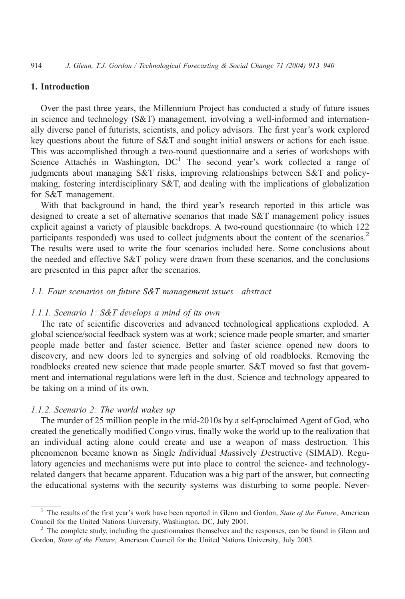### 1. Introduction

Over the past three years, the Millennium Project has conducted a study of future issues in science and technology (S&T) management, involving a well-informed and internationally diverse panel of futurists, scientists, and policy advisors. The first year's work explored key questions about the future of S&T and sought initial answers or actions for each issue. This was accomplished through a two-round questionnaire and a series of workshops with Science Attaches in Washington,  $DC<sup>1</sup>$  The second year's work collected a range of judgments about managing S&T risks, improving relationships between S&T and policymaking, fostering interdisciplinary S&T, and dealing with the implications of globalization for S&T management.

With that background in hand, the third year's research reported in this article was designed to create a set of alternative scenarios that made S&T management policy issues explicit against a variety of plausible backdrops. A two-round questionnaire (to which 122 participants responded) was used to collect judgments about the content of the scenarios.<sup>2</sup> The results were used to write the four scenarios included here. Some conclusions about the needed and effective S&T policy were drawn from these scenarios, and the conclusions are presented in this paper after the scenarios.

#### 1.1. Four scenarios on future S&T management issues—abstract

#### 1.1.1. Scenario 1: S&T develops a mind of its own

The rate of scientific discoveries and advanced technological applications exploded. A global science/social feedback system was at work; science made people smarter, and smarter people made better and faster science. Better and faster science opened new doors to discovery, and new doors led to synergies and solving of old roadblocks. Removing the roadblocks created new science that made people smarter. S&T moved so fast that government and international regulations were left in the dust. Science and technology appeared to be taking on a mind of its own.

#### 1.1.2. Scenario 2: The world wakes up

The murder of 25 million people in the mid-2010s by a self-proclaimed Agent of God, who created the genetically modified Congo virus, finally woke the world up to the realization that an individual acting alone could create and use a weapon of mass destruction. This phenomenon became known as Single Individual Massively Destructive (SIMAD). Regulatory agencies and mechanisms were put into place to control the science- and technologyrelated dangers that became apparent. Education was a big part of the answer, but connecting the educational systems with the security systems was disturbing to some people. Never-

<sup>&</sup>lt;sup>1</sup> The results of the first year's work have been reported in Glenn and Gordon, State of the Future, American Council for the United Nations University, Washington, DC, July 2001.<br><sup>2</sup> The complete study, including the questionnaires themselves and the responses, can be found in Glenn and

Gordon, State of the Future, American Council for the United Nations University, July 2003.